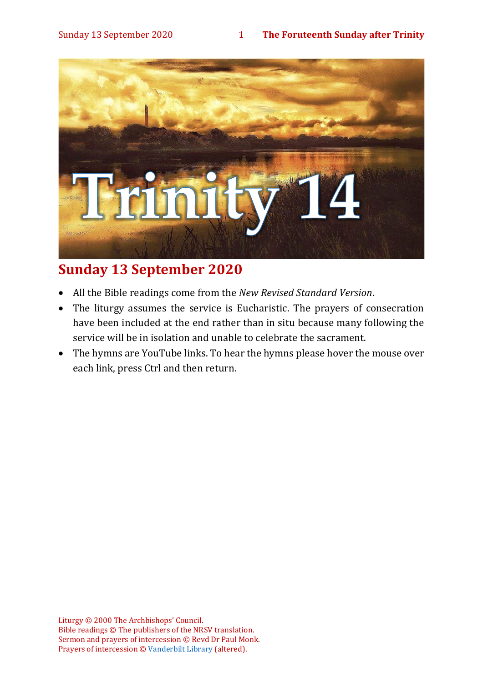

## **Sunday 13 September 2020**

- All the Bible readings come from the *New Revised Standard Version*.
- The liturgy assumes the service is Eucharistic. The prayers of consecration have been included at the end rather than in situ because many following the service will be in isolation and unable to celebrate the sacrament.
- The hymns are YouTube links. To hear the hymns please hover the mouse over each link, press Ctrl and then return.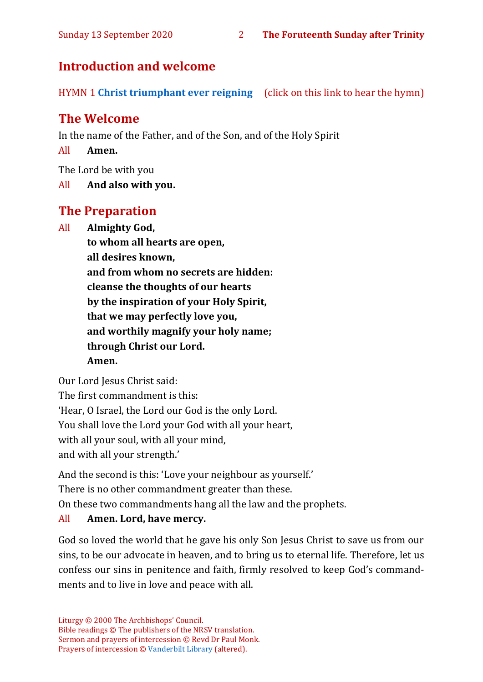## **Introduction and welcome**

HYMN 1 **[Christ triumphant ever reigning](https://youtu.be/N5Xz9V-6JPA)** (click on this link to hear the hymn)

## **The Welcome**

In the name of the Father, and of the Son, and of the Holy Spirit

All **Amen.**

The Lord be with you

All **And also with you.**

## **The Preparation**

All **Almighty God,**

**to whom all hearts are open, all desires known, and from whom no secrets are hidden: cleanse the thoughts of our hearts by the inspiration of your Holy Spirit, that we may perfectly love you, and worthily magnify your holy name; through Christ our Lord. Amen.**

Our Lord Jesus Christ said:

The first commandment is this: 'Hear, O Israel, the Lord our God is the only Lord. You shall love the Lord your God with all your heart, with all your soul, with all your mind, and with all your strength.'

And the second is this: 'Love your neighbour as yourself.'

There is no other commandment greater than these.

On these two commandments hang all the law and the prophets.

#### All **Amen. Lord, have mercy.**

God so loved the world that he gave his only Son Jesus Christ to save us from our sins, to be our advocate in heaven, and to bring us to eternal life. Therefore, let us confess our sins in penitence and faith, firmly resolved to keep God's commandments and to live in love and peace with all.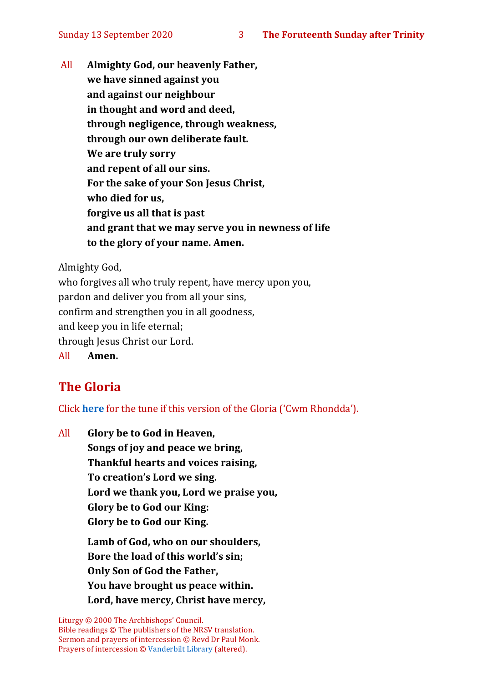All **Almighty God, our heavenly Father, we have sinned against you and against our neighbour in thought and word and deed, through negligence, through weakness, through our own deliberate fault. We are truly sorry and repent of all our sins. For the sake of your Son Jesus Christ, who died for us, forgive us all that is past and grant that we may serve you in newness of life to the glory of your name. Amen.**

Almighty God,

who forgives all who truly repent, have mercy upon you, pardon and deliver you from all your sins, confirm and strengthen you in all goodness, and keep you in life eternal; through Jesus Christ our Lord. All **Amen.**

## **The Gloria**

Click **[here](about:blank)** for the tune if this version of the Gloria ('Cwm Rhondda').

All **Glory be to God in Heaven, Songs of joy and peace we bring, Thankful hearts and voices raising, To creation's Lord we sing. Lord we thank you, Lord we praise you, Glory be to God our King: Glory be to God our King.**

> **Lamb of God, who on our shoulders, Bore the load of this world's sin; Only Son of God the Father, You have brought us peace within. Lord, have mercy, Christ have mercy,**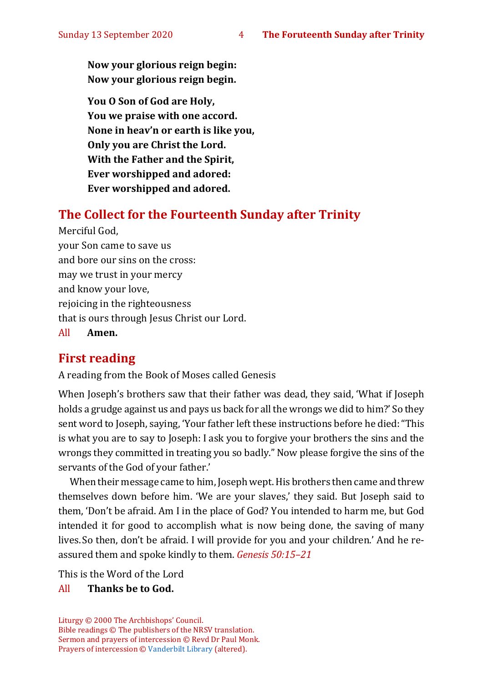**Now your glorious reign begin: Now your glorious reign begin.**

**You O Son of God are Holy, You we praise with one accord. None in heav'n or earth is like you, Only you are Christ the Lord. With the Father and the Spirit, Ever worshipped and adored: Ever worshipped and adored.**

#### **The Collect for the Fourteenth Sunday after Trinity**

Merciful God, your Son came to save us and bore our sins on the cross: may we trust in your mercy and know your love, rejoicing in the righteousness that is ours through Jesus Christ our Lord. All **Amen.**

## **First reading**

A reading from the Book of Moses called Genesis

When Joseph's brothers saw that their father was dead, they said, 'What if Joseph holds a grudge against us and pays us back for all the wrongs we did to him?' So they sent word to Joseph, saying, 'Your father left these instructions before he died:"This is what you are to say to Joseph: I ask you to forgive your brothers the sins and the wrongs they committed in treating you so badly." Now please forgive the sins of the servants of the God of your father.'

When their message came to him, Joseph wept. His brothers then came and threw themselves down before him. 'We are your slaves,' they said. But Joseph said to them, 'Don't be afraid. Am I in the place of God? You intended to harm me, but God intended it for good to accomplish what is now being done, the saving of many lives. So then, don't be afraid. I will provide for you and your children.' And he reassured them and spoke kindly to them. *Genesis 50:15–21*

This is the Word of the Lord

#### All **Thanks be to God.**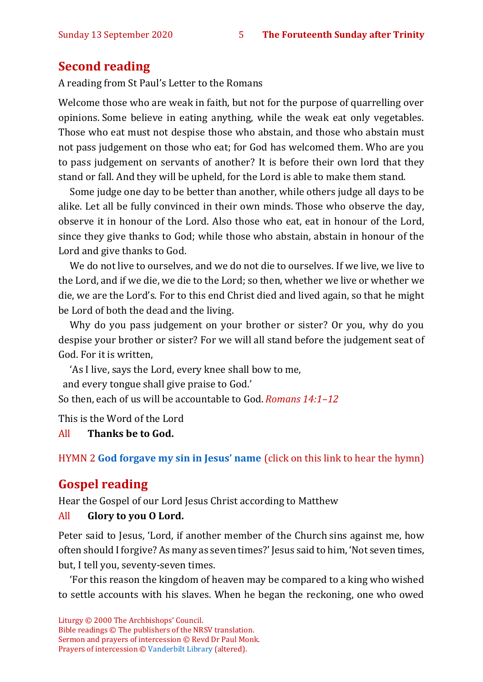## **Second reading**

A reading from St Paul's Letter to the Romans

Welcome those who are weak in faith, but not for the purpose of quarrelling over opinions. Some believe in eating anything, while the weak eat only vegetables. Those who eat must not despise those who abstain, and those who abstain must not pass judgement on those who eat; for God has welcomed them. Who are you to pass judgement on servants of another? It is before their own lord that they stand or fall. And they will be upheld, for the Lord is able to make them stand.

Some judge one day to be better than another, while others judge all days to be alike. Let all be fully convinced in their own minds. Those who observe the day, observe it in honour of the Lord. Also those who eat, eat in honour of the Lord, since they give thanks to God; while those who abstain, abstain in honour of the Lord and give thanks to God.

We do not live to ourselves, and we do not die to ourselves. If we live, we live to the Lord, and if we die, we die to the Lord; so then, whether we live or whether we die, we are the Lord's. For to this end Christ died and lived again, so that he might be Lord of both the dead and the living.

Why do you pass judgement on your brother or sister? Or you, why do you despise your brother or sister? For we will all stand before the judgement seat of God. For it is written,

'As I live, says the Lord, every knee shall bow to me,

and every tongue shall give praise to God.'

So then, each of us will be accountable to God. *Romans 14:1–12*

This is the Word of the Lord

All **Thanks be to God.**

HYMN 2 **[God forgave my sin in Jesus' name](https://www.youtube.com/watch?v=mo3MGpcBC5M)** (click on this link to hear the hymn)

## **Gospel reading**

Hear the Gospel of our Lord Jesus Christ according to Matthew

#### All **Glory to you O Lord.**

Peter said to Jesus, 'Lord, if another member of the Church sins against me, how often should I forgive? As many as seven times?' Jesus said to him, 'Not seven times, but, I tell you, seventy-seven times.

'For this reason the kingdom of heaven may be compared to a king who wished to settle accounts with his slaves. When he began the reckoning, one who owed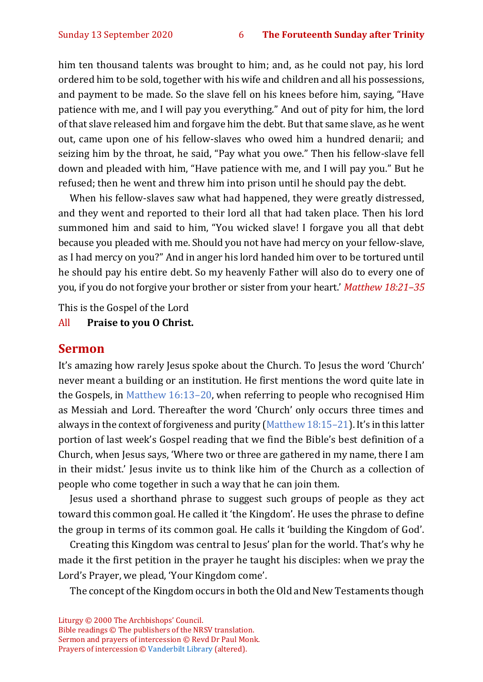him ten thousand talents was brought to him; and, as he could not pay, his lord ordered him to be sold, together with his wife and children and all his possessions, and payment to be made. So the slave fell on his knees before him, saying, "Have patience with me, and I will pay you everything." And out of pity for him, the lord of that slave released him and forgave him the debt. But that same slave, as he went out, came upon one of his fellow-slaves who owed him a hundred denarii; and seizing him by the throat, he said, "Pay what you owe." Then his fellow-slave fell down and pleaded with him, "Have patience with me, and I will pay you." But he refused; then he went and threw him into prison until he should pay the debt.

When his fellow-slaves saw what had happened, they were greatly distressed, and they went and reported to their lord all that had taken place. Then his lord summoned him and said to him, "You wicked slave! I forgave you all that debt because you pleaded with me. Should you not have had mercy on your fellow-slave, as I had mercy on you?" And in anger his lord handed him over to be tortured until he should pay his entire debt. So my heavenly Father will also do to every one of you, if you do not forgive your brother or sister from your heart.' *Matthew 18:21–35*

This is the Gospel of the Lord

All **Praise to you O Christ.** 

## **Sermon**

It's amazing how rarely Jesus spoke about the Church. To Jesus the word 'Church' never meant a building or an institution. He first mentions the word quite late in the Gospels, in [Matthew 16:13](https://www.biblegateway.com/passage/?search=Matthew+16%3A13-20+&version=NRSVA)–20, when referring to people who recognised Him as Messiah and Lord. Thereafter the word 'Church' only occurs three times and always in the context of forgiveness and purity [\(Matthew 18:15](https://www.biblegateway.com/passage/?search=Matthew+18%3A15%E2%80%9321&version=NRSVA)–21). It's in this latter portion of last week's Gospel reading that we find the Bible's best definition of a Church, when Jesus says, 'Where two or three are gathered in my name, there I am in their midst.' Jesus invite us to think like him of the Church as a collection of people who come together in such a way that he can join them.

Jesus used a shorthand phrase to suggest such groups of people as they act toward this common goal. He called it 'the Kingdom'. He uses the phrase to define the group in terms of its common goal. He calls it 'building the Kingdom of God'.

Creating this Kingdom was central to Jesus' plan for the world. That's why he made it the first petition in the prayer he taught his disciples: when we pray the Lord's Prayer, we plead, 'Your Kingdom come'.

The concept of the Kingdom occurs in both the Old and New Testaments though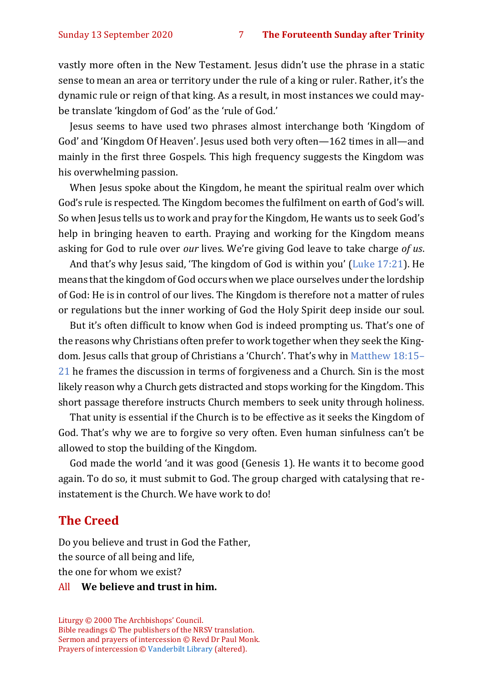vastly more often in the New Testament. Jesus didn't use the phrase in a static sense to mean an area or territory under the rule of a king or ruler. Rather, it's the dynamic rule or reign of that king. As a result, in most instances we could maybe translate 'kingdom of God' as the 'rule of God.'

Jesus seems to have used two phrases almost interchange both 'Kingdom of God' and 'Kingdom Of Heaven'. Jesus used both very often—162 times in all—and mainly in the first three Gospels. This high frequency suggests the Kingdom was his overwhelming passion.

When Jesus spoke about the Kingdom, he meant the spiritual realm over which God's rule is respected. The Kingdom becomes the fulfilment on earth of God's will. So when Jesus tells us to work and pray for the Kingdom, He wants us to seek God's help in bringing heaven to earth. Praying and working for the Kingdom means asking for God to rule over *our* lives. We're giving God leave to take charge *of us*.

And that's why Jesus said, 'The kingdom of God is within you' ([Luke 17:21\)](https://www.biblegateway.com/passage/?search=Luke+17%3A20-21&version=NRSVA). He means that the kingdom of God occurs when we place ourselves under the lordship of God: He is in control of our lives. The Kingdom is therefore not a matter of rules or regulations but the inner working of God the Holy Spirit deep inside our soul.

But it's often difficult to know when God is indeed prompting us. That's one of the reasons why Christians often prefer to work together when they seek the Kingdom. Jesus calls that group of Christians a 'Church'. That's why in [Matthew 18:15](https://www.biblegateway.com/passage/?search=Matthew+18%3A15%E2%80%9321&version=NRSVA)– [21](https://www.biblegateway.com/passage/?search=Matthew+18%3A15%E2%80%9321&version=NRSVA) he frames the discussion in terms of forgiveness and a Church. Sin is the most likely reason why a Church gets distracted and stops working for the Kingdom. This short passage therefore instructs Church members to seek unity through holiness.

That unity is essential if the Church is to be effective as it seeks the Kingdom of God. That's why we are to forgive so very often. Even human sinfulness can't be allowed to stop the building of the Kingdom.

God made the world 'and it was good (Genesis 1). He wants it to become good again. To do so, it must submit to God. The group charged with catalysing that reinstatement is the Church. We have work to do!

#### **The Creed**

Do you believe and trust in God the Father, the source of all being and life, the one for whom we exist?

#### All **We believe and trust in him.**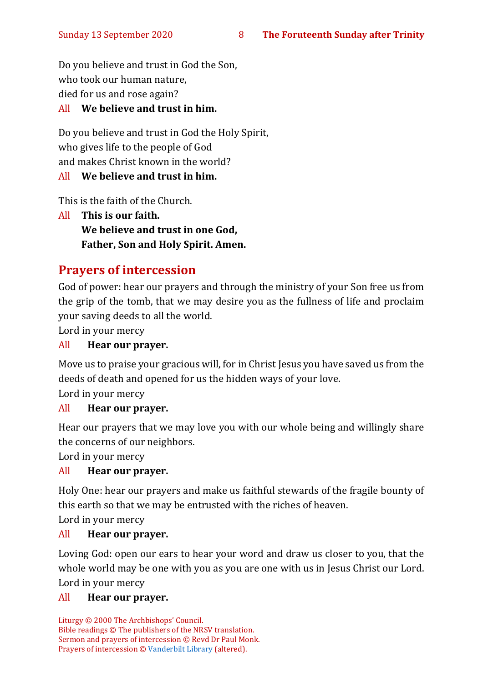Do you believe and trust in God the Son, who took our human nature, died for us and rose again? All **We believe and trust in him.**

## Do you believe and trust in God the Holy Spirit, who gives life to the people of God and makes Christ known in the world?

#### All **We believe and trust in him.**

This is the faith of the Church.

All **This is our faith. We believe and trust in one God, Father, Son and Holy Spirit. Amen.**

## **Prayers of intercession**

God of power: hear our prayers and through the ministry of your Son free us from the grip of the tomb, that we may desire you as the fullness of life and proclaim your saving deeds to all the world.

Lord in your mercy

#### All **Hear our prayer.**

Move us to praise your gracious will, for in Christ Jesus you have saved us from the deeds of death and opened for us the hidden ways of your love.

Lord in your mercy

#### All **Hear our prayer.**

Hear our prayers that we may love you with our whole being and willingly share the concerns of our neighbors.

Lord in your mercy

#### All **Hear our prayer.**

Holy One: hear our prayers and make us faithful stewards of the fragile bounty of this earth so that we may be entrusted with the riches of heaven.

Lord in your mercy

#### All **Hear our prayer.**

Loving God: open our ears to hear your word and draw us closer to you, that the whole world may be one with you as you are one with us in Jesus Christ our Lord. Lord in your mercy

#### All **Hear our prayer.**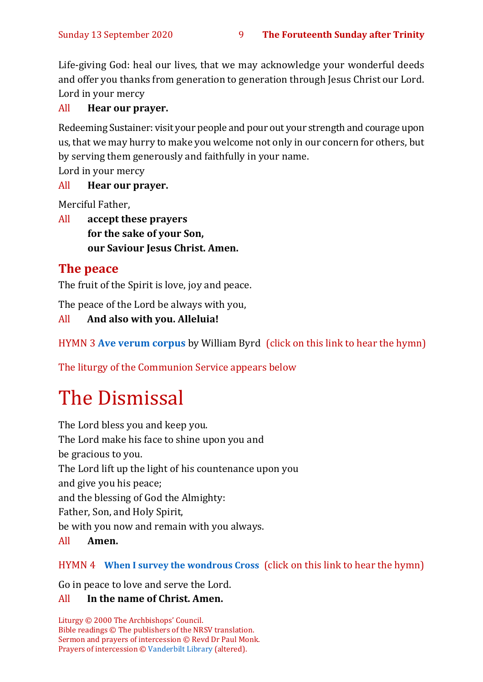Life-giving God: heal our lives, that we may acknowledge your wonderful deeds and offer you thanks from generation to generation through Jesus Christ our Lord. Lord in your mercy

#### All **Hear our prayer.**

Redeeming Sustainer: visit your people and pour out your strength and courage upon us, that we may hurry to make you welcome not only in our concern for others, but by serving them generously and faithfully in your name.

Lord in your mercy

#### All **Hear our prayer.**

Merciful Father,

All **accept these prayers for the sake of your Son, our Saviour Jesus Christ. Amen.**

## **The peace**

The fruit of the Spirit is love, joy and peace.

The peace of the Lord be always with you,

All **And also with you. Alleluia!**

HYMN 3 **[Ave verum corpus](https://www.youtube.com/watch?v=k2OQG-4sMPQ)** by William Byrd (click on this link to hear the hymn)

The liturgy of the Communion Service appears below

# The Dismissal

The Lord bless you and keep you. The Lord make his face to shine upon you and be gracious to you. The Lord lift up the light of his countenance upon you and give you his peace; and the blessing of God the Almighty: Father, Son, and Holy Spirit, be with you now and remain with you always. All **Amen.**

#### HYMN 4 **[When I survey the wondrous Cross](https://www.youtube.com/watch?v=kimLXNhzZMA)** (click on this link to hear the hymn)

Go in peace to love and serve the Lord.

#### All **In the name of Christ. Amen.**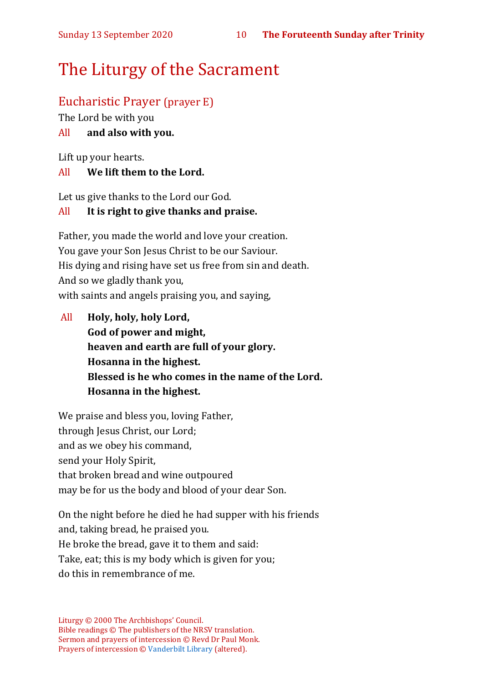## The Liturgy of the Sacrament

## Eucharistic Prayer (prayer E)

The Lord be with you

#### All **and also with you.**

Lift up your hearts.

#### All **We lift them to the Lord.**

Let us give thanks to the Lord our God.

#### All **It is right to give thanks and praise.**

Father, you made the world and love your creation. You gave your Son Jesus Christ to be our Saviour. His dying and rising have set us free from sin and death. And so we gladly thank you, with saints and angels praising you, and saying,

All **Holy, holy, holy Lord, God of power and might, heaven and earth are full of your glory. Hosanna in the highest. Blessed is he who comes in the name of the Lord. Hosanna in the highest.**

We praise and bless you, loving Father, through Jesus Christ, our Lord; and as we obey his command, send your Holy Spirit, that broken bread and wine outpoured may be for us the body and blood of your dear Son.

On the night before he died he had supper with his friends and, taking bread, he praised you. He broke the bread, gave it to them and said: Take, eat; this is my body which is given for you; do this in remembrance of me.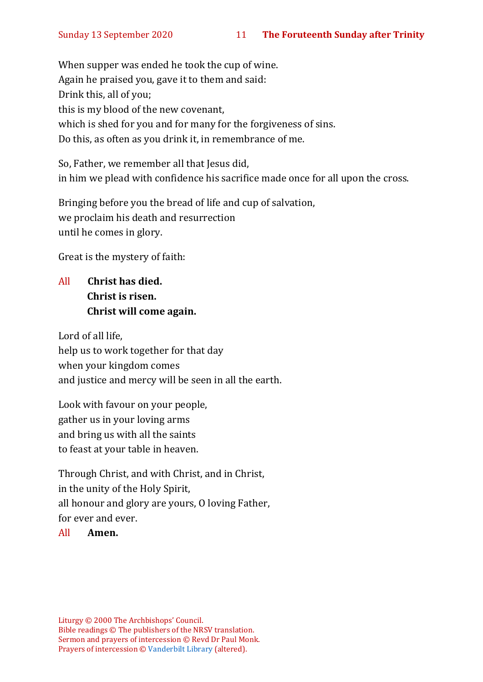When supper was ended he took the cup of wine. Again he praised you, gave it to them and said: Drink this, all of you; this is my blood of the new covenant, which is shed for you and for many for the forgiveness of sins. Do this, as often as you drink it, in remembrance of me.

So, Father, we remember all that Jesus did, in him we plead with confidence his sacrifice made once for all upon the cross.

Bringing before you the bread of life and cup of salvation, we proclaim his death and resurrection until he comes in glory.

Great is the mystery of faith:

All **Christ has died. Christ is risen. Christ will come again.**

Lord of all life, help us to work together for that day when your kingdom comes and justice and mercy will be seen in all the earth.

Look with favour on your people, gather us in your loving arms and bring us with all the saints to feast at your table in heaven.

Through Christ, and with Christ, and in Christ, in the unity of the Holy Spirit, all honour and glory are yours, O loving Father, for ever and ever.

#### All **Amen.**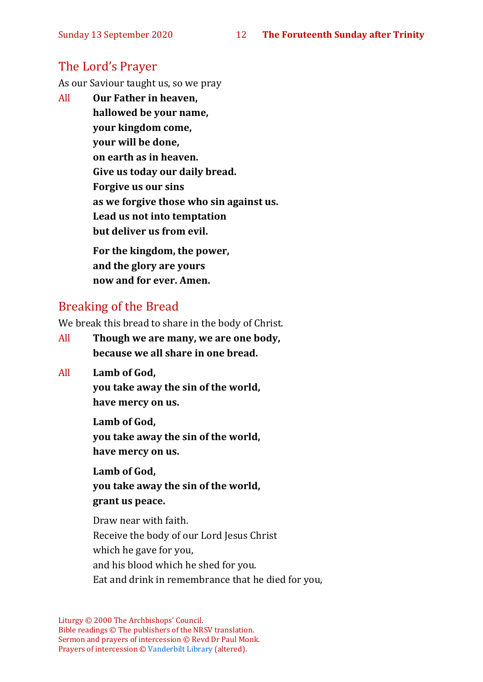## The Lord's Prayer

As our Saviour taught us, so we pray

All **Our Father in heaven, hallowed be your name, your kingdom come, your will be done, on earth as in heaven. Give us today our daily bread. Forgive us our sins as we forgive those who sin against us. Lead us not into temptation but deliver us from evil. For the kingdom, the power,** 

**and the glory are yours now and for ever. Amen.**

## Breaking of the Bread

We break this bread to share in the body of Christ.

- All **Though we are many, we are one body, because we all share in one bread.**
- All **Lamb of God,**

**you take away the sin of the world, have mercy on us.**

**Lamb of God, you take away the sin of the world, have mercy on us.**

**Lamb of God, you take away the sin of the world, grant us peace.**

Draw near with faith. Receive the body of our Lord Jesus Christ which he gave for you, and his blood which he shed for you. Eat and drink in remembrance that he died for you,